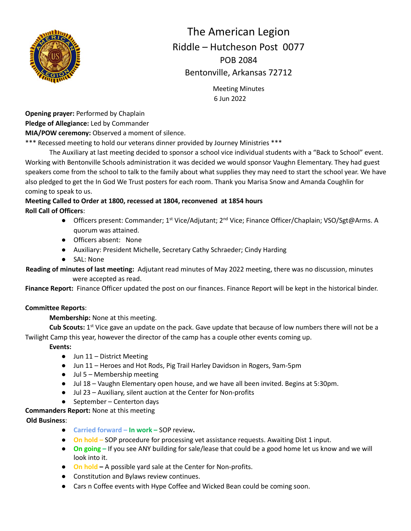

# The American Legion Riddle – Hutcheson Post 0077 POB 2084 Bentonville, Arkansas 72712

Meeting Minutes 6 Jun 2022

**Opening prayer:** Performed by Chaplain **Pledge of Allegiance:** Led by Commander

**MIA/POW ceremony:** Observed a moment of silence.

\*\*\* Recessed meeting to hold our veterans dinner provided by Journey Ministries \*\*\*

The Auxiliary at last meeting decided to sponsor a school vice individual students with a "Back to School" event. Working with Bentonville Schools administration it was decided we would sponsor Vaughn Elementary. They had guest speakers come from the school to talk to the family about what supplies they may need to start the school year. We have also pledged to get the In God We Trust posters for each room. Thank you Marisa Snow and Amanda Coughlin for coming to speak to us.

# **Meeting Called to Order at 1800, recessed at 1804, reconvened at 1854 hours Roll Call of Officers**:

- Officers present: Commander; 1<sup>st</sup> Vice/Adjutant; 2<sup>nd</sup> Vice; Finance Officer/Chaplain; VSO/Sgt@Arms. A quorum was attained.
- Officers absent: None
- Auxiliary: President Michelle, Secretary Cathy Schraeder; Cindy Harding
- SAL: None

**Reading of minutes of last meeting:** Adjutant read minutes of May 2022 meeting, there was no discussion, minutes were accepted as read.

**Finance Report:** Finance Officer updated the post on our finances. Finance Report will be kept in the historical binder.

# **Committee Reports**:

**Membership:** None at this meeting.

Cub Scouts: 1<sup>st</sup> Vice gave an update on the pack. Gave update that because of low numbers there will not be a Twilight Camp this year, however the director of the camp has a couple other events coming up.

**Events:**

- Jun 11 District Meeting
- Jun 11 Heroes and Hot Rods, Pig Trail Harley Davidson in Rogers, 9am-5pm
- Jul 5 Membership meeting
- Jul 18 Vaughn Elementary open house, and we have all been invited. Begins at 5:30pm.
- Jul 23 Auxiliary, silent auction at the Center for Non-profits
- September Centerton days

**Commanders Report:** None at this meeting

**Old Business**:

- **Carried forward – In work –** SOP review**.**
- **On hold** SOP procedure for processing vet assistance requests. Awaiting Dist 1 input.
- **On going** If you see ANY building for sale/lease that could be a good home let us know and we will look into it.
- **On hold –** A possible yard sale at the Center for Non-profits.
- Constitution and Bylaws review continues.
- Cars n Coffee events with Hype Coffee and Wicked Bean could be coming soon.